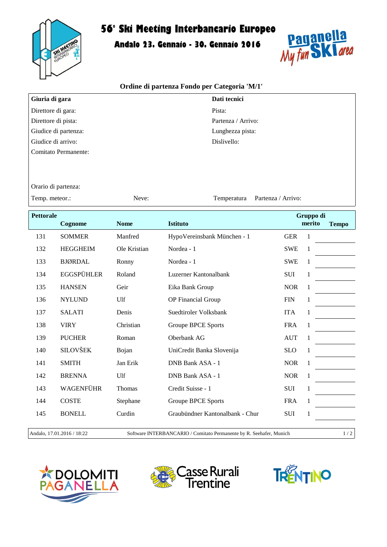

## **56° Ski Meeting Interbancario Europeo**

**Andalo 23. Gennaio - 30. Gennaio 2016**



## **Ordine di partenza Fondo per Categoria 'M/1'**

| Giuria di gara       | Dati tecnici       |
|----------------------|--------------------|
| Direttore di gara:   | Pista:             |
| Direttore di pista:  | Partenza / Arrivo: |
| Giudice di partenza: | Lunghezza pista:   |
| Giudice di arrivo:   | Dislivello:        |
| Comitato Permanente: |                    |

Orario di partenza:

Temp. meteor.: 
Neve: Partenza / Arrivo:

| <b>Pettorale</b> |                   |               |                                 |            | Gruppo di    |              |
|------------------|-------------------|---------------|---------------------------------|------------|--------------|--------------|
|                  | Cognome           | <b>Nome</b>   | <b>Istituto</b>                 |            | merito       | <b>Tempo</b> |
| 131              | <b>SOMMER</b>     | Manfred       | HypoVereinsbank München - 1     | <b>GER</b> | 1            |              |
| 132              | <b>HEGGHEIM</b>   | Ole Kristian  | Nordea - 1                      | <b>SWE</b> | 1            |              |
| 133              | <b>BJØRDAL</b>    | Ronny         | Nordea - 1                      | <b>SWE</b> | 1            |              |
| 134              | <b>EGGSPÜHLER</b> | Roland        | Luzerner Kantonalbank           | <b>SUI</b> | 1            |              |
| 135              | <b>HANSEN</b>     | Geir          | Eika Bank Group                 | <b>NOR</b> | 1            |              |
| 136              | <b>NYLUND</b>     | Ulf           | OP Financial Group              | <b>FIN</b> | 1            |              |
| 137              | <b>SALATI</b>     | Denis         | Suedtiroler Volksbank           | <b>ITA</b> | 1            |              |
| 138              | <b>VIRY</b>       | Christian     | <b>Groupe BPCE Sports</b>       | <b>FRA</b> | $\mathbf{1}$ |              |
| 139              | <b>PUCHER</b>     | Roman         | Oberbank AG                     | <b>AUT</b> | 1            |              |
| 140              | <b>SILOVŠEK</b>   | Bojan         | UniCredit Banka Slovenija       | <b>SLO</b> | 1            |              |
| 141              | <b>SMITH</b>      | Jan Erik      | DNB Bank ASA - 1                | <b>NOR</b> | 1            |              |
| 142              | <b>BRENNA</b>     | Ulf           | DNB Bank ASA - 1                | <b>NOR</b> | 1            |              |
| 143              | WAGENFÜHR         | <b>Thomas</b> | Credit Suisse - 1               | <b>SUI</b> | $\mathbf{1}$ |              |
| 144              | <b>COSTE</b>      | Stephane      | <b>Groupe BPCE Sports</b>       | <b>FRA</b> | $\mathbf{1}$ |              |
| 145              | <b>BONELL</b>     | Curdin        | Graubündner Kantonalbank - Chur | <b>SUI</b> | 1            |              |
|                  |                   |               |                                 |            |              |              |

Andalo, 17.01.2016 / 18:22 Software INTERBANCARIO / Comitato Permanente by R. Seehafer, Munich 1 / 2